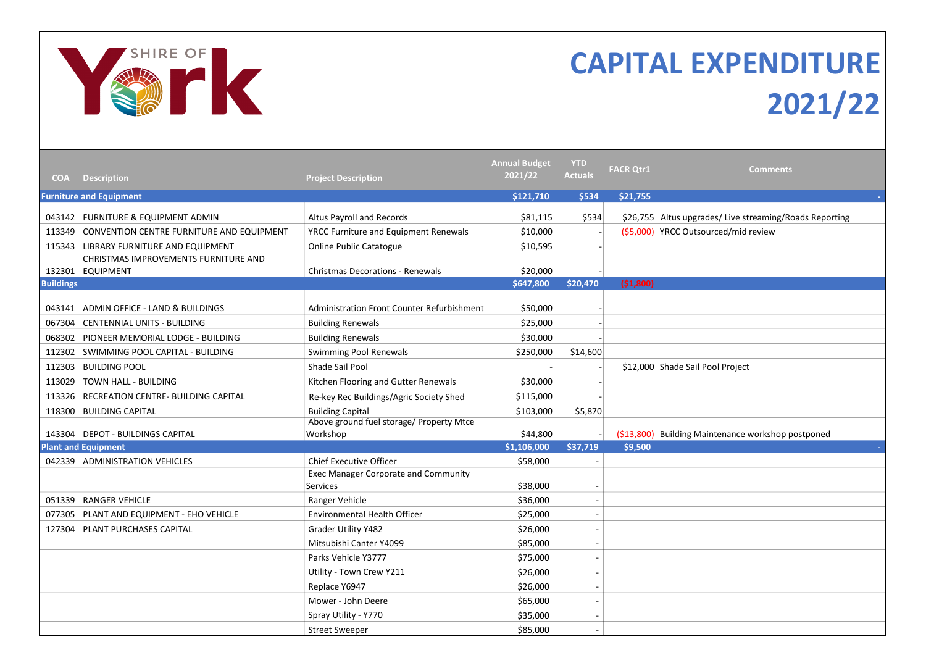

## CAPITAL EXPENDITURE 2021/22

| <b>COA</b>       | <b>Description</b>                                       | <b>Project Description</b>                           | <b>Annual Budget</b><br>2021/22 | <b>YTD</b><br><b>Actuals</b> | <b>FACR Otr1</b> | <b>Comments</b>                                         |
|------------------|----------------------------------------------------------|------------------------------------------------------|---------------------------------|------------------------------|------------------|---------------------------------------------------------|
|                  | <b>Furniture and Equipment</b>                           |                                                      | \$121,710                       | \$534                        | \$21,755         |                                                         |
|                  | 043142 FURNITURE & EQUIPMENT ADMIN                       | Altus Payroll and Records                            | \$81,115                        | \$534                        |                  | \$26,755 Altus upgrades/ Live streaming/Roads Reporting |
| 113349           | CONVENTION CENTRE FURNITURE AND EQUIPMENT                | YRCC Furniture and Equipment Renewals                | \$10,000                        |                              |                  | (\$5,000) YRCC Outsourced/mid review                    |
|                  | 115343 LIBRARY FURNITURE AND EQUIPMENT                   | <b>Online Public Catatogue</b>                       | \$10,595                        |                              |                  |                                                         |
|                  | CHRISTMAS IMPROVEMENTS FURNITURE AND<br>132301 EQUIPMENT | <b>Christmas Decorations - Renewals</b>              | \$20,000                        |                              |                  |                                                         |
| <b>Buildings</b> |                                                          |                                                      | \$647,800                       | \$20,470                     | (51,800)         |                                                         |
|                  |                                                          |                                                      |                                 |                              |                  |                                                         |
|                  | 043141 ADMIN OFFICE - LAND & BUILDINGS                   | Administration Front Counter Refurbishment           | \$50,000                        |                              |                  |                                                         |
| 067304           | CENTENNIAL UNITS - BUILDING                              | <b>Building Renewals</b>                             | \$25,000                        |                              |                  |                                                         |
| 068302           | <b>PIONEER MEMORIAL LODGE - BUILDING</b>                 | <b>Building Renewals</b>                             | \$30,000                        |                              |                  |                                                         |
| 112302           | SWIMMING POOL CAPITAL - BUILDING                         | Swimming Pool Renewals                               | \$250,000                       | \$14,600                     |                  |                                                         |
| 112303           | <b>BUILDING POOL</b>                                     | Shade Sail Pool                                      |                                 |                              |                  | \$12,000 Shade Sail Pool Project                        |
| 113029           | <b>TOWN HALL - BUILDING</b>                              | Kitchen Flooring and Gutter Renewals                 | \$30,000                        |                              |                  |                                                         |
| 113326           | <b>RECREATION CENTRE- BUILDING CAPITAL</b>               | Re-key Rec Buildings/Agric Society Shed              | \$115,000                       |                              |                  |                                                         |
|                  | 118300 BUILDING CAPITAL                                  | <b>Building Capital</b>                              | \$103,000                       | \$5,870                      |                  |                                                         |
|                  | 143304 DEPOT - BUILDINGS CAPITAL                         | Above ground fuel storage/ Property Mtce<br>Workshop | \$44,800                        |                              |                  | (\$13,800) Building Maintenance workshop postponed      |
|                  | <b>Plant and Equipment</b>                               |                                                      | \$1,106,000                     | \$37,719                     | \$9,500          | $\sim$                                                  |
|                  | 042339 ADMINISTRATION VEHICLES                           | <b>Chief Executive Officer</b>                       | \$58,000                        |                              |                  |                                                         |
|                  |                                                          | <b>Exec Manager Corporate and Community</b>          |                                 |                              |                  |                                                         |
|                  |                                                          | Services                                             | \$38,000                        |                              |                  |                                                         |
|                  | 051339 RANGER VEHICLE                                    | Ranger Vehicle                                       | \$36,000                        |                              |                  |                                                         |
| 077305           | PLANT AND EQUIPMENT - EHO VEHICLE                        | <b>Environmental Health Officer</b>                  | \$25,000                        |                              |                  |                                                         |
| 127304           | <b>PLANT PURCHASES CAPITAL</b>                           | Grader Utility Y482                                  | \$26,000                        |                              |                  |                                                         |
|                  |                                                          | Mitsubishi Canter Y4099                              | \$85,000                        |                              |                  |                                                         |
|                  |                                                          | Parks Vehicle Y3777                                  | \$75,000                        |                              |                  |                                                         |
|                  |                                                          | Utility - Town Crew Y211                             | \$26,000                        |                              |                  |                                                         |
|                  |                                                          | Replace Y6947                                        | \$26,000                        |                              |                  |                                                         |
|                  |                                                          | Mower - John Deere                                   | \$65,000                        | $\sim$                       |                  |                                                         |
|                  |                                                          | Spray Utility - Y770                                 | \$35,000                        |                              |                  |                                                         |
|                  |                                                          | <b>Street Sweeper</b>                                | \$85,000                        |                              |                  |                                                         |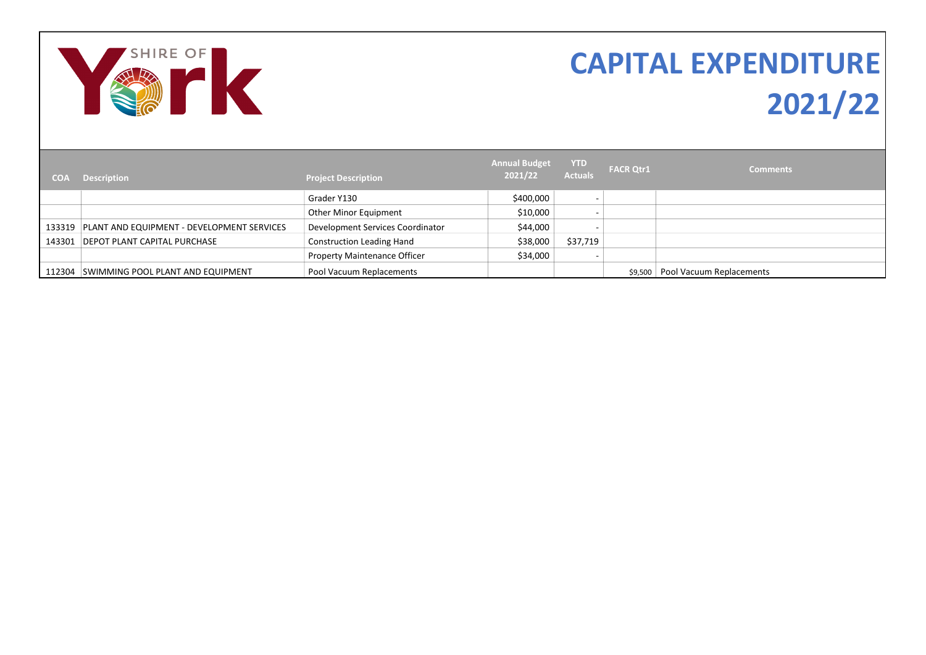

## CAPITAL EXPENDITURE 2021/22

| <b>COA</b> | <b>Description</b>                                | <b>Project Description</b>          | <b>Annual Budget</b><br>2021/22 | <b>YTD</b><br><b>Actuals</b> | <b>FACR Qtr1</b> | Comments                 |
|------------|---------------------------------------------------|-------------------------------------|---------------------------------|------------------------------|------------------|--------------------------|
|            |                                                   | Grader Y130                         | \$400,000                       |                              |                  |                          |
|            |                                                   | Other Minor Equipment               | \$10,000                        |                              |                  |                          |
|            | 133319 PLANT AND EQUIPMENT - DEVELOPMENT SERVICES | Development Services Coordinator    | \$44,000                        |                              |                  |                          |
|            | 143301 DEPOT PLANT CAPITAL PURCHASE               | <b>Construction Leading Hand</b>    | \$38,000                        | \$37,719                     |                  |                          |
|            |                                                   | <b>Property Maintenance Officer</b> | \$34,000                        |                              |                  |                          |
|            | 112304 SWIMMING POOL PLANT AND EQUIPMENT          | Pool Vacuum Replacements            |                                 |                              | \$9.500          | Pool Vacuum Replacements |